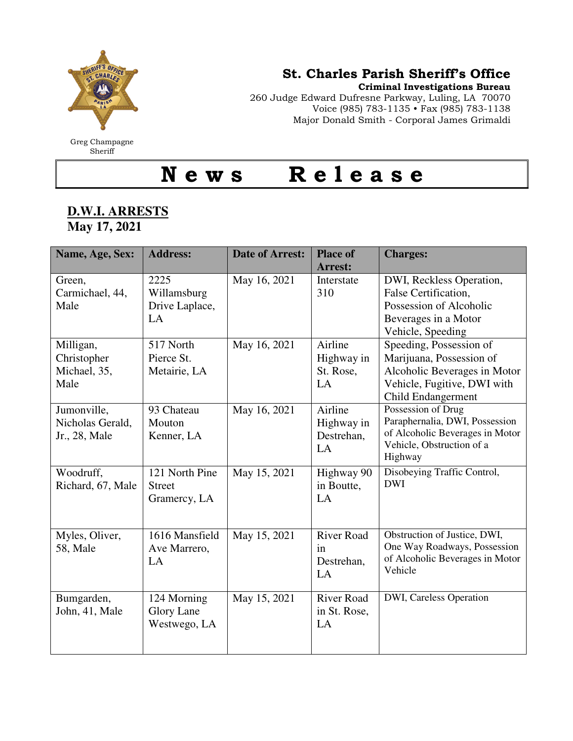

## St. Charles Parish Sheriff's Office

Criminal Investigations Bureau

260 Judge Edward Dufresne Parkway, Luling, LA 70070 Voice (985) 783-1135 • Fax (985) 783-1138 Major Donald Smith - Corporal James Grimaldi

N e w s R e l e a s e

## **D.W.I. ARRESTS May 17, 2021**

| Name, Age, Sex:                                  | <b>Address:</b>                                  | <b>Date of Arrest:</b> | <b>Place of</b><br><b>Arrest:</b>           | <b>Charges:</b>                                                                                                                          |
|--------------------------------------------------|--------------------------------------------------|------------------------|---------------------------------------------|------------------------------------------------------------------------------------------------------------------------------------------|
| Green,<br>Carmichael, 44,<br>Male                | 2225<br>Willamsburg<br>Drive Laplace,<br>LA      | May 16, 2021           | Interstate<br>310                           | DWI, Reckless Operation,<br>False Certification,<br>Possession of Alcoholic<br>Beverages in a Motor<br>Vehicle, Speeding                 |
| Milligan,<br>Christopher<br>Michael, 35,<br>Male | 517 North<br>Pierce St.<br>Metairie, LA          | May 16, 2021           | Airline<br>Highway in<br>St. Rose,<br>LA    | Speeding, Possession of<br>Marijuana, Possession of<br>Alcoholic Beverages in Motor<br>Vehicle, Fugitive, DWI with<br>Child Endangerment |
| Jumonville,<br>Nicholas Gerald,<br>Jr., 28, Male | 93 Chateau<br>Mouton<br>Kenner, LA               | May 16, 2021           | Airline<br>Highway in<br>Destrehan,<br>LA   | Possession of Drug<br>Paraphernalia, DWI, Possession<br>of Alcoholic Beverages in Motor<br>Vehicle, Obstruction of a<br>Highway          |
| Woodruff,<br>Richard, 67, Male                   | 121 North Pine<br><b>Street</b><br>Gramercy, LA  | May 15, 2021           | Highway 90<br>in Boutte,<br>LA              | Disobeying Traffic Control,<br><b>DWI</b>                                                                                                |
| Myles, Oliver,<br>58, Male                       | 1616 Mansfield<br>Ave Marrero,<br>LA             | May 15, 2021           | <b>River Road</b><br>in<br>Destrehan,<br>LA | Obstruction of Justice, DWI,<br>One Way Roadways, Possession<br>of Alcoholic Beverages in Motor<br>Vehicle                               |
| Bumgarden,<br>John, 41, Male                     | 124 Morning<br><b>Glory Lane</b><br>Westwego, LA | May 15, 2021           | <b>River Road</b><br>in St. Rose,<br>LA     | DWI, Careless Operation                                                                                                                  |

Greg Champagne Sheriff